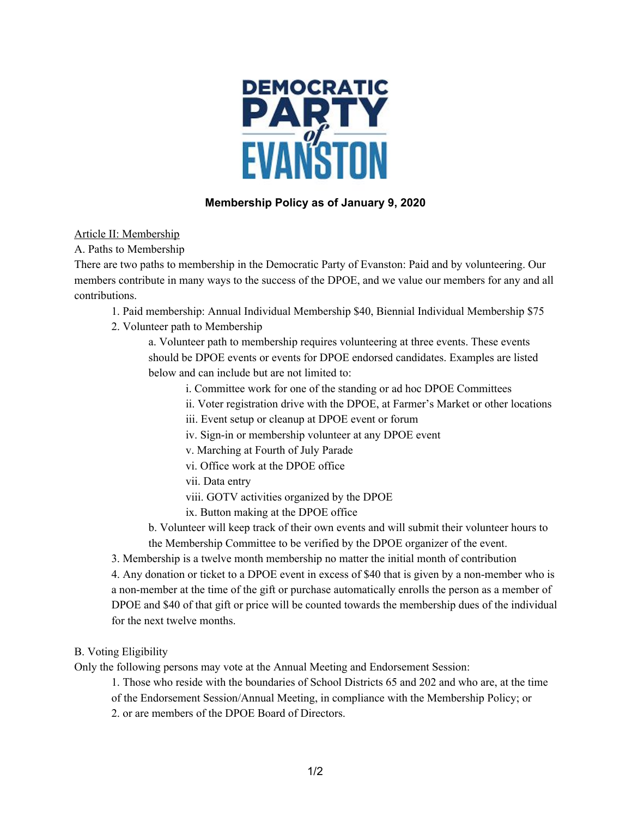

## **Membership Policy as of January 9, 2020**

Article II: Membership

A. Paths to Membership

There are two paths to membership in the Democratic Party of Evanston: Paid and by volunteering. Our members contribute in many ways to the success of the DPOE, and we value our members for any and all contributions.

1. Paid membership: Annual Individual Membership \$40, Biennial Individual Membership \$75

2. Volunteer path to Membership

a. Volunteer path to membership requires volunteering at three events. These events should be DPOE events or events for DPOE endorsed candidates. Examples are listed below and can include but are not limited to:

- i. Committee work for one of the standing or ad hoc DPOE Committees
- ii. Voter registration drive with the DPOE, at Farmer's Market or other locations
- iii. Event setup or cleanup at DPOE event or forum
- iv. Sign-in or membership volunteer at any DPOE event
- v. Marching at Fourth of July Parade
- vi. Office work at the DPOE office
- vii. Data entry
- viii. GOTV activities organized by the DPOE
- ix. Button making at the DPOE office

b. Volunteer will keep track of their own events and will submit their volunteer hours to the Membership Committee to be verified by the DPOE organizer of the event.

3. Membership is a twelve month membership no matter the initial month of contribution

4. Any donation or ticket to a DPOE event in excess of \$40 that is given by a non-member who is a non-member at the time of the gift or purchase automatically enrolls the person as a member of DPOE and \$40 of that gift or price will be counted towards the membership dues of the individual for the next twelve months.

## B. Voting Eligibility

Only the following persons may vote at the Annual Meeting and Endorsement Session:

1. Those who reside with the boundaries of School Districts 65 and 202 and who are, at the time

of the Endorsement Session/Annual Meeting, in compliance with the Membership Policy; or

2. or are members of the DPOE Board of Directors.